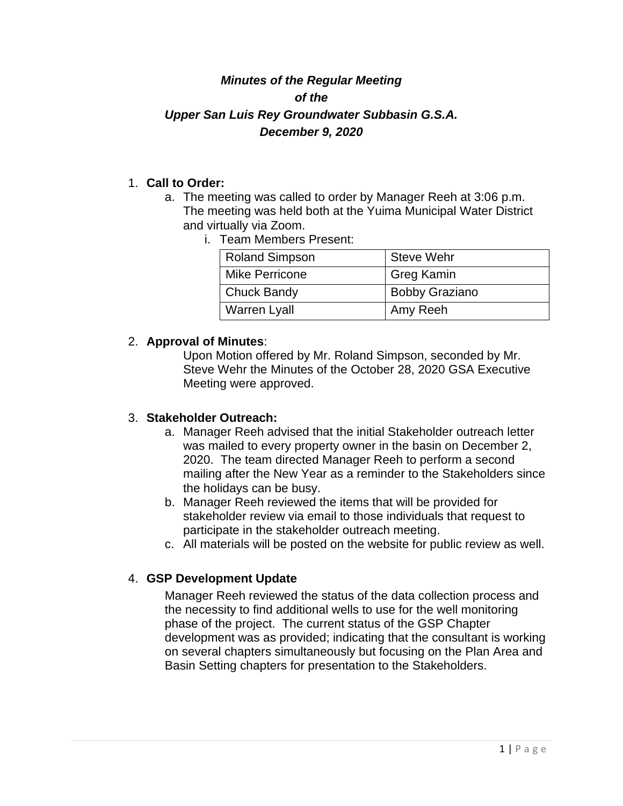# *Minutes of the Regular Meeting of the Upper San Luis Rey Groundwater Subbasin G.S.A. December 9, 2020*

#### 1. **Call to Order:**

- a. The meeting was called to order by Manager Reeh at 3:06 p.m. The meeting was held both at the Yuima Municipal Water District and virtually via Zoom.
	- i. Team Members Present:

| <b>Roland Simpson</b> | <b>Steve Wehr</b>     |
|-----------------------|-----------------------|
| Mike Perricone        | <b>Greg Kamin</b>     |
| <b>Chuck Bandy</b>    | <b>Bobby Graziano</b> |
| <b>Warren Lyall</b>   | Amy Reeh              |

#### 2. **Approval of Minutes**:

Upon Motion offered by Mr. Roland Simpson, seconded by Mr. Steve Wehr the Minutes of the October 28, 2020 GSA Executive Meeting were approved.

### 3. **Stakeholder Outreach:**

- a. Manager Reeh advised that the initial Stakeholder outreach letter was mailed to every property owner in the basin on December 2, 2020. The team directed Manager Reeh to perform a second mailing after the New Year as a reminder to the Stakeholders since the holidays can be busy.
- b. Manager Reeh reviewed the items that will be provided for stakeholder review via email to those individuals that request to participate in the stakeholder outreach meeting.
- c. All materials will be posted on the website for public review as well.

### 4. **GSP Development Update**

Manager Reeh reviewed the status of the data collection process and the necessity to find additional wells to use for the well monitoring phase of the project. The current status of the GSP Chapter development was as provided; indicating that the consultant is working on several chapters simultaneously but focusing on the Plan Area and Basin Setting chapters for presentation to the Stakeholders.